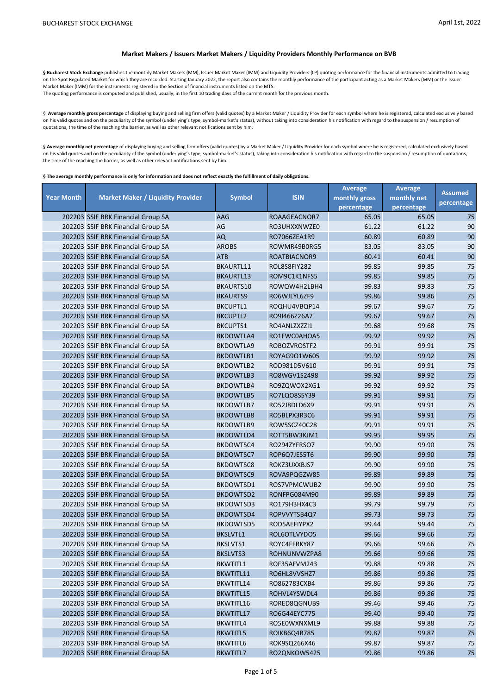## **Market Makers / Issuers Market Makers / Liquidity Providers Monthly Performance on BVB**

§ Bucharest Stock Exchange publishes the monthly Market Makers (MM), Issuer Market Maker (IMM) and Liquidity Providers (LP) quoting performance for the financial instruments admitted to trading on the Spot Regulated Market for which they are recorded. Starting January 2022, the report also contains the monthly performance of the participant acting as a Market Makers (MM) or the Issuer Market Maker (IMM) for the instruments registered in the Section of financial instruments listed on the MTS. The quoting performance is computed and published, usually, in the first 10 trading days of the current month for the previous month.

§ Average monthly gross percentage of displaying buying and selling firm offers (valid quotes) by a Market Maker / Liquidity Provider for each symbol where he is registered, calculated exclusively based on his valid quotes and on the peculiarity of the symbol (underlying's type, symbol-market's status), without taking into consideration his notification with regard to the suspension / resumption of quotations, the time of the reaching the barrier, as well as other relevant notifications sent by him.

§ Average monthly net percentage of displaying buying and selling firm offers (valid quotes) by a Market Maker / Liquidity Provider for each symbol where he is registered, calculated exclusively based on his valid quotes and on the peculiarity of the symbol (underlying's type, symbol-market's status), taking into consideration his notification with regard to the suspension / resumption of quotations, the time of the reaching the barrier, as well as other relevant notifications sent by him.

**§ The average monthly performance is only for information and does not reflect exactly the fulfillment of daily obligations.** 

|                   |                                          |                  |              | <b>Average</b> | <b>Average</b> | <b>Assumed</b> |
|-------------------|------------------------------------------|------------------|--------------|----------------|----------------|----------------|
| <b>Year Month</b> | <b>Market Maker / Liquidity Provider</b> | <b>Symbol</b>    | <b>ISIN</b>  | monthly gross  | monthly net    | percentage     |
|                   |                                          |                  |              | percentage     | percentage     |                |
|                   | 202203 SSIF BRK Financial Group SA       | AAG              | ROAAGEACNOR7 | 65.05          | 65.05          | 75             |
|                   | 202203 SSIF BRK Financial Group SA       | AG               | RO3UHXXNWZE0 | 61.22          | 61.22          | 90             |
|                   | 202203 SSIF BRK Financial Group SA       | AQ               | RO7066ZEA1R9 | 60.89          | 60.89          | 90             |
|                   | 202203 SSIF BRK Financial Group SA       | <b>AROBS</b>     | ROWMR49B0RG5 | 83.05          | 83.05          | 90             |
|                   | 202203 SSIF BRK Financial Group SA       | <b>ATB</b>       | ROATBIACNOR9 | 60.41          | 60.41          | 90             |
|                   | 202203 SSIF BRK Financial Group SA       | BKAURTL11        | ROL8S8FIY282 | 99.85          | 99.85          | 75             |
|                   | 202203 SSIF BRK Financial Group SA       | <b>BKAURTL13</b> | ROM9C1K1NFS5 | 99.85          | 99.85          | 75             |
|                   | 202203 SSIF BRK Financial Group SA       | BKAURTS10        | ROWQW4H2LBH4 | 99.83          | 99.83          | 75             |
|                   | 202203 SSIF BRK Financial Group SA       | <b>BKAURTS9</b>  | RO6WJLYL6ZF9 | 99.86          | 99.86          | 75             |
|                   | 202203 SSIF BRK Financial Group SA       | <b>BKCUPTL1</b>  | ROQHU4VBQP14 | 99.67          | 99.67          | 75             |
|                   | 202203 SSIF BRK Financial Group SA       | <b>BKCUPTL2</b>  | RO9I466Z26A7 | 99.67          | 99.67          | 75             |
|                   | 202203 SSIF BRK Financial Group SA       | <b>BKCUPTS1</b>  | RO4ANLZXZZI1 | 99.68          | 99.68          | 75             |
|                   | 202203 SSIF BRK Financial Group SA       | <b>BKDOWTLA4</b> | RO1FWC0AHOA5 | 99.92          | 99.92          | 75             |
|                   | 202203 SSIF BRK Financial Group SA       | <b>BKDOWTLA9</b> | ROBOZVROSTF2 | 99.91          | 99.91          | 75             |
|                   | 202203 SSIF BRK Financial Group SA       | <b>BKDOWTLB1</b> | ROYAG9O1W605 | 99.92          | 99.92          | 75             |
|                   | 202203 SSIF BRK Financial Group SA       | <b>BKDOWTLB2</b> | ROD981D5V610 | 99.91          | 99.91          | 75             |
|                   | 202203 SSIF BRK Financial Group SA       | <b>BKDOWTLB3</b> | RO8WGV1S2498 | 99.92          | 99.92          | 75             |
|                   | 202203 SSIF BRK Financial Group SA       | <b>BKDOWTLB4</b> | RO9ZQWOX2XG1 | 99.92          | 99.92          | 75             |
|                   | 202203 SSIF BRK Financial Group SA       | <b>BKDOWTLB5</b> | RO7LQO8SSY39 | 99.91          | 99.91          | 75             |
|                   | 202203 SSIF BRK Financial Group SA       | BKDOWTLB7        | RO52J8DLD6X9 | 99.91          | 99.91          | 75             |
|                   | 202203 SSIF BRK Financial Group SA       | <b>BKDOWTLB8</b> | RO5BLPX3R3C6 | 99.91          | 99.91          | 75             |
|                   | 202203 SSIF BRK Financial Group SA       | BKDOWTLB9        | ROW5SCZ40C28 | 99.91          | 99.91          | 75             |
|                   | 202203 SSIF BRK Financial Group SA       | <b>BKDOWTLD4</b> | ROTT5BW3KJM1 | 99.95          | 99.95          | 75             |
|                   | 202203 SSIF BRK Financial Group SA       | BKDOWTSC4        | RO294ZYFRSO7 | 99.90          | 99.90          | 75             |
|                   | 202203 SSIF BRK Financial Group SA       | BKDOWTSC7        | ROP6Q7JES5T6 | 99.90          | 99.90          | 75             |
|                   | 202203 SSIF BRK Financial Group SA       | <b>BKDOWTSC8</b> | ROKZ3UXXBJS7 | 99.90          | 99.90          | 75             |
|                   | 202203 SSIF BRK Financial Group SA       | <b>BKDOWTSC9</b> | ROVA9PQGZW85 | 99.89          | 99.89          | 75             |
|                   | 202203 SSIF BRK Financial Group SA       | BKDOWTSD1        | ROS7VPMCWUB2 | 99.90          | 99.90          | 75             |
|                   | 202203 SSIF BRK Financial Group SA       | BKDOWTSD2        | RONFPG084M90 | 99.89          | 99.89          | 75             |
|                   | 202203 SSIF BRK Financial Group SA       | BKDOWTSD3        | RO179H3HX4C3 | 99.79          | 99.79          | 75             |
|                   | 202203 SSIF BRK Financial Group SA       | BKDOWTSD4        | ROPVVYTSB4Q7 | 99.73          | 99.73          | 75             |
|                   | 202203 SSIF BRK Financial Group SA       | BKDOWTSD5        | ROD5AEFIYPX2 | 99.44          | 99.44          | 75             |
|                   | 202203 SSIF BRK Financial Group SA       | <b>BKSLVTL1</b>  | ROL6OTLVYDO5 | 99.66          | 99.66          | 75             |
|                   | 202203 SSIF BRK Financial Group SA       | <b>BKSLVTS1</b>  | ROYC4FFRKY87 | 99.66          | 99.66          | 75             |
|                   | 202203 SSIF BRK Financial Group SA       | <b>BKSLVTS3</b>  | ROHNUNVWZPA8 | 99.66          | 99.66          | 75             |
|                   | 202203 SSIF BRK Financial Group SA       | <b>BKWTITL1</b>  | ROF35AFVM243 | 99.88          | 99.88          | 75             |
|                   | 202203 SSIF BRK Financial Group SA       | BKWTITL11        | RO6HL8VVSHZ7 | 99.86          | 99.86          | $75\,$         |
|                   | 202203 SSIF BRK Financial Group SA       | BKWTITL14        | RO862783CXB4 | 99.86          | 99.86          | 75             |
|                   | 202203 SSIF BRK Financial Group SA       | BKWTITL15        | ROHVL4YSWDL4 | 99.86          | 99.86          | 75             |
|                   | 202203 SSIF BRK Financial Group SA       | BKWTITL16        | RORED8QGNUB9 | 99.46          | 99.46          | 75             |
|                   | 202203 SSIF BRK Financial Group SA       | BKWTITL17        | RO6G44EYC775 | 99.40          | 99.40          | 75             |
|                   | 202203 SSIF BRK Financial Group SA       | BKWTITL4         | RO5E0WXNXML9 | 99.88          | 99.88          | 75             |
|                   | 202203 SSIF BRK Financial Group SA       | <b>BKWTITL5</b>  | ROIKB6Q4R785 | 99.87          | 99.87          | 75             |
|                   | 202203 SSIF BRK Financial Group SA       | BKWTITL6         | ROK9SQ266X46 | 99.87          | 99.87          | 75             |
|                   | 202203 SSIF BRK Financial Group SA       | <b>BKWTITL7</b>  | RO2QNKOW5425 | 99.86          | 99.86          | $75\,$         |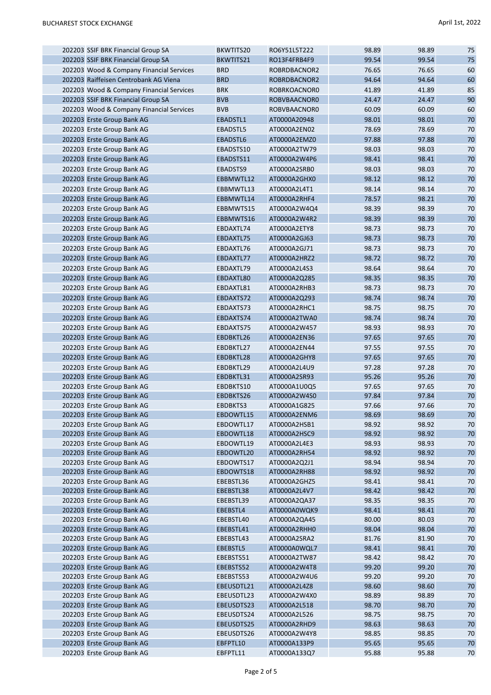| 202203 SSIF BRK Financial Group SA                       | BKWTITS20              | RO6Y51L5T222                 | 98.89          | 98.89          | 75           |
|----------------------------------------------------------|------------------------|------------------------------|----------------|----------------|--------------|
| 202203 SSIF BRK Financial Group SA                       | BKWTITS21              | RO13F4FRB4F9                 | 99.54          | 99.54          | 75           |
| 202203 Wood & Company Financial Services                 | <b>BRD</b>             | ROBRDBACNOR2                 | 76.65          | 76.65          | 60           |
| 202203 Raiffeisen Centrobank AG Viena                    | <b>BRD</b>             | ROBRDBACNOR2                 | 94.64          | 94.64          | 60           |
| 202203 Wood & Company Financial Services                 | <b>BRK</b>             | ROBRKOACNOR0                 | 41.89          | 41.89          | 85           |
| 202203 SSIF BRK Financial Group SA                       | <b>BVB</b>             | ROBVBAACNOR0                 | 24.47          | 24.47          | 90           |
| 202203 Wood & Company Financial Services                 | <b>BVB</b>             | ROBVBAACNOR0                 | 60.09          | 60.09          | 60           |
| 202203 Erste Group Bank AG                               | EBADSTL1               | AT0000A20948                 | 98.01          | 98.01          | 70           |
| 202203 Erste Group Bank AG                               | <b>EBADSTL5</b>        | AT0000A2EN02                 | 78.69          | 78.69          | 70           |
| 202203 Erste Group Bank AG                               | EBADSTL6               | AT0000A2EMZ0                 | 97.88          | 97.88          | 70           |
| 202203 Erste Group Bank AG                               | EBADSTS10              | AT0000A2TW79                 | 98.03          | 98.03          | 70           |
| 202203 Erste Group Bank AG                               | EBADSTS11              | AT0000A2W4P6                 | 98.41          | 98.41          | 70           |
| 202203 Erste Group Bank AG                               | EBADSTS9               | AT0000A2SRB0                 | 98.03          | 98.03          | 70           |
| 202203 Erste Group Bank AG                               | EBBMWTL12              | AT0000A2GHX0                 | 98.12          | 98.12          | 70           |
| 202203 Erste Group Bank AG                               | EBBMWTL13              | AT0000A2L4T1                 | 98.14          | 98.14          | 70           |
| 202203 Erste Group Bank AG                               | EBBMWTL14              | AT0000A2RHF4                 | 78.57          | 98.21          | 70           |
| 202203 Erste Group Bank AG                               | EBBMWTS15              | AT0000A2W4Q4                 | 98.39          | 98.39          | 70           |
| 202203 Erste Group Bank AG                               | EBBMWTS16              | AT0000A2W4R2                 | 98.39          | 98.39          | 70           |
| 202203 Erste Group Bank AG                               | EBDAXTL74              | AT0000A2ETY8                 | 98.73          | 98.73          | 70           |
|                                                          | EBDAXTL75              | AT0000A2GJ63                 | 98.73          | 98.73          | 70           |
| 202203 Erste Group Bank AG                               |                        |                              |                | 98.73          | 70           |
| 202203 Erste Group Bank AG                               | EBDAXTL76              | AT0000A2GJ71                 | 98.73          |                |              |
| 202203 Erste Group Bank AG                               | EBDAXTL77              | AT0000A2HRZ2                 | 98.72          | 98.72          | 70           |
| 202203 Erste Group Bank AG                               | EBDAXTL79              | AT0000A2L4S3                 | 98.64          | 98.64          | 70           |
| 202203 Erste Group Bank AG                               | EBDAXTL80              | AT0000A2Q285                 | 98.35          | 98.35          | 70           |
| 202203 Erste Group Bank AG                               | EBDAXTL81              | AT0000A2RHB3                 | 98.73          | 98.73          | 70           |
| 202203 Erste Group Bank AG                               | EBDAXTS72              | AT0000A2Q293                 | 98.74          | 98.74          | 70           |
| 202203 Erste Group Bank AG                               | EBDAXTS73              | AT0000A2RHC1                 | 98.75          | 98.75          | 70           |
| 202203 Erste Group Bank AG                               | EBDAXTS74              | AT0000A2TWA0                 | 98.74          | 98.74          | 70           |
| 202203 Erste Group Bank AG                               | EBDAXTS75              | AT0000A2W457                 | 98.93          | 98.93          | 70           |
| 202203 Erste Group Bank AG                               | EBDBKTL26              | AT0000A2EN36                 | 97.65          | 97.65          | 70           |
| 202203 Erste Group Bank AG                               | EBDBKTL27              | AT0000A2EN44                 | 97.55          | 97.55          | 70           |
| 202203 Erste Group Bank AG                               | EBDBKTL28              | AT0000A2GHY8                 | 97.65          | 97.65          | 70           |
| 202203 Erste Group Bank AG                               | EBDBKTL29              | AT0000A2L4U9                 | 97.28          | 97.28          | 70           |
| 202203 Erste Group Bank AG                               | EBDBKTL31              | AT0000A2SR93                 | 95.26          | 95.26          | 70           |
| 202203 Erste Group Bank AG                               | EBDBKTS10              | AT0000A1U0Q5                 | 97.65          | 97.65          | 70           |
| 202203 Erste Group Bank AG                               | EBDBKTS26              | AT0000A2W4S0                 | 97.84          | 97.84          | 70           |
| 202203 Erste Group Bank AG                               | EBDBKTS3               | AT0000A1G825                 | 97.66<br>98.69 | 97.66<br>98.69 | 70<br>$70\,$ |
| 202203 Erste Group Bank AG                               | EBDOWTL15              | AT0000A2ENM6                 |                |                |              |
| 202203 Erste Group Bank AG                               | EBDOWTL17<br>EBDOWTL18 | AT0000A2HSB1                 | 98.92<br>98.92 | 98.92<br>98.92 | 70<br>70     |
| 202203 Erste Group Bank AG<br>202203 Erste Group Bank AG | EBDOWTL19              | AT0000A2HSC9<br>AT0000A2L4E3 | 98.93          | 98.93          | 70           |
| 202203 Erste Group Bank AG                               | EBDOWTL20              | AT0000A2RH54                 | 98.92          | 98.92          | 70           |
| 202203 Erste Group Bank AG                               | EBDOWTS17              | AT0000A2Q2J1                 | 98.94          | 98.94          | 70           |
| 202203 Erste Group Bank AG                               | EBDOWTS18              | AT0000A2RH88                 | 98.92          | 98.92          | 70           |
| 202203 Erste Group Bank AG                               | EBEBSTL36              | AT0000A2GHZ5                 | 98.41          | 98.41          | 70           |
| 202203 Erste Group Bank AG                               | EBEBSTL38              | AT0000A2L4V7                 | 98.42          | 98.42          | 70           |
| 202203 Erste Group Bank AG                               | EBEBSTL39              | AT0000A2QA37                 | 98.35          | 98.35          | 70           |
| 202203 Erste Group Bank AG                               | EBEBSTL4               | AT0000A0WQK9                 | 98.41          | 98.41          | 70           |
| 202203 Erste Group Bank AG                               | EBEBSTL40              | AT0000A2QA45                 | 80.00          | 80.03          | 70           |
| 202203 Erste Group Bank AG                               | EBEBSTL41              | AT0000A2RHH0                 | 98.04          | 98.04          | 70           |
| 202203 Erste Group Bank AG                               | EBEBSTL43              | AT0000A2SRA2                 | 81.76          | 81.90          | 70           |
| 202203 Erste Group Bank AG                               | EBEBSTL5               | AT0000A0WQL7                 | 98.41          | 98.41          | 70           |
| 202203 Erste Group Bank AG                               | EBEBSTS51              | AT0000A2TW87                 | 98.42          | 98.42          | 70           |
| 202203 Erste Group Bank AG                               | EBEBSTS52              | AT0000A2W4T8                 | 99.20          | 99.20          | 70           |
| 202203 Erste Group Bank AG                               | EBEBSTS53              | AT0000A2W4U6                 | 99.20          | 99.20          | 70           |
| 202203 Erste Group Bank AG                               | EBEUSDTL21             | AT0000A2L4Z8                 | 98.60          | 98.60          | 70           |
| 202203 Erste Group Bank AG                               | EBEUSDTL23             | AT0000A2W4X0                 | 98.89          | 98.89          | 70           |
| 202203 Erste Group Bank AG                               | EBEUSDTS23             | AT0000A2L518                 | 98.70          | 98.70          | 70           |
| 202203 Erste Group Bank AG                               | EBEUSDTS24             | AT0000A2L526                 | 98.75          | 98.75          | 70           |
| 202203 Erste Group Bank AG                               | EBEUSDTS25             | AT0000A2RHD9                 | 98.63          | 98.63          | 70           |
| 202203 Erste Group Bank AG                               | EBEUSDTS26             | AT0000A2W4Y8                 | 98.85          | 98.85          | 70           |
| 202203 Erste Group Bank AG                               | EBFPTL10               | AT0000A133P9                 | 95.65          | 95.65          | 70           |
| 202203 Erste Group Bank AG                               | EBFPTL11               | AT0000A133Q7                 | 95.88          | 95.88          | 70           |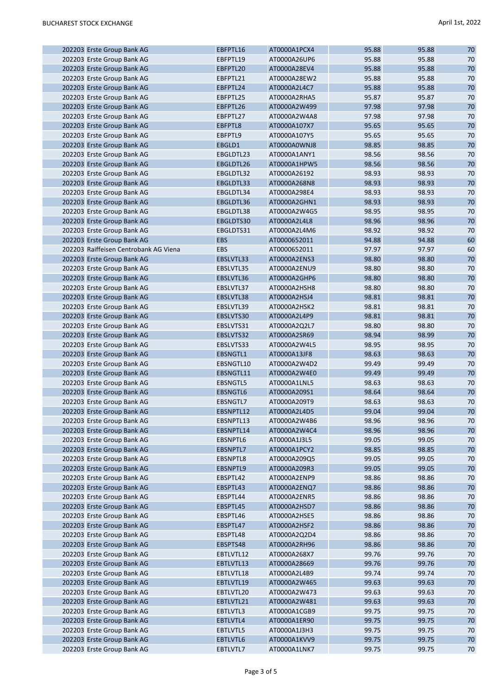| 202203 Erste Group Bank AG            | EBFPTL16   | AT0000A1PCX4 | 95.88 | 95.88 | 70 |
|---------------------------------------|------------|--------------|-------|-------|----|
| 202203 Erste Group Bank AG            | EBFPTL19   | AT0000A26UP6 | 95.88 | 95.88 | 70 |
| 202203 Erste Group Bank AG            | EBFPTL20   | AT0000A28EV4 | 95.88 | 95.88 | 70 |
| 202203 Erste Group Bank AG            | EBFPTL21   | AT0000A28EW2 | 95.88 | 95.88 | 70 |
| 202203 Erste Group Bank AG            | EBFPTL24   | AT0000A2L4C7 | 95.88 | 95.88 | 70 |
| 202203 Erste Group Bank AG            | EBFPTL25   | AT0000A2RHA5 | 95.87 | 95.87 | 70 |
| 202203 Erste Group Bank AG            | EBFPTL26   | AT0000A2W499 | 97.98 | 97.98 | 70 |
| 202203 Erste Group Bank AG            | EBFPTL27   | AT0000A2W4A8 | 97.98 | 97.98 | 70 |
| 202203 Erste Group Bank AG            | EBFPTL8    | AT0000A107X7 | 95.65 | 95.65 | 70 |
| 202203 Erste Group Bank AG            | EBFPTL9    | AT0000A107Y5 | 95.65 | 95.65 | 70 |
| 202203 Erste Group Bank AG            | EBGLD1     | AT0000A0WNJ8 | 98.85 | 98.85 | 70 |
| 202203 Erste Group Bank AG            | EBGLDTL23  | AT0000A1ANY1 | 98.56 | 98.56 | 70 |
| 202203 Erste Group Bank AG            | EBGLDTL26  | AT0000A1HPW5 | 98.56 | 98.56 | 70 |
| 202203 Erste Group Bank AG            | EBGLDTL32  | AT0000A26192 | 98.93 | 98.93 | 70 |
| 202203 Erste Group Bank AG            | EBGLDTL33  | AT0000A268N8 | 98.93 | 98.93 | 70 |
| 202203 Erste Group Bank AG            | EBGLDTL34  | AT0000A298E4 | 98.93 | 98.93 | 70 |
| 202203 Erste Group Bank AG            | EBGLDTL36  | AT0000A2GHN1 | 98.93 | 98.93 | 70 |
| 202203 Erste Group Bank AG            | EBGLDTL38  | AT0000A2W4G5 | 98.95 | 98.95 | 70 |
| 202203 Erste Group Bank AG            | EBGLDTS30  | AT0000A2L4L8 | 98.96 | 98.96 | 70 |
| 202203 Erste Group Bank AG            | EBGLDTS31  | AT0000A2L4M6 | 98.92 | 98.92 | 70 |
| 202203 Erste Group Bank AG            | <b>EBS</b> | AT0000652011 | 94.88 | 94.88 | 60 |
| 202203 Raiffeisen Centrobank AG Viena | <b>EBS</b> | AT0000652011 | 97.97 | 97.97 | 60 |
| 202203 Erste Group Bank AG            | EBSLVTL33  | AT0000A2ENS3 | 98.80 | 98.80 | 70 |
| 202203 Erste Group Bank AG            | EBSLVTL35  | AT0000A2ENU9 | 98.80 | 98.80 | 70 |
| 202203 Erste Group Bank AG            | EBSLVTL36  | AT0000A2GHP6 | 98.80 | 98.80 | 70 |
| 202203 Erste Group Bank AG            | EBSLVTL37  | AT0000A2HSH8 | 98.80 | 98.80 | 70 |
| 202203 Erste Group Bank AG            | EBSLVTL38  | AT0000A2HSJ4 | 98.81 | 98.81 | 70 |
| 202203 Erste Group Bank AG            | EBSLVTL39  | AT0000A2HSK2 | 98.81 | 98.81 | 70 |
| 202203 Erste Group Bank AG            | EBSLVTS30  | AT0000A2L4P9 | 98.81 | 98.81 | 70 |
|                                       |            |              | 98.80 | 98.80 | 70 |
| 202203 Erste Group Bank AG            | EBSLVTS31  | AT0000A2Q2L7 | 98.94 |       | 70 |
| 202203 Erste Group Bank AG            | EBSLVTS32  | AT0000A2SR69 |       | 98.99 |    |
| 202203 Erste Group Bank AG            | EBSLVTS33  | AT0000A2W4L5 | 98.95 | 98.95 | 70 |
| 202203 Erste Group Bank AG            | EBSNGTL1   | AT0000A13JF8 | 98.63 | 98.63 | 70 |
| 202203 Erste Group Bank AG            | EBSNGTL10  | AT0000A2W4D2 | 99.49 | 99.49 | 70 |
| 202203 Erste Group Bank AG            | EBSNGTL11  | AT0000A2W4E0 | 99.49 | 99.49 | 70 |
| 202203 Erste Group Bank AG            | EBSNGTL5   | AT0000A1LNL5 | 98.63 | 98.63 | 70 |
| 202203 Erste Group Bank AG            | EBSNGTL6   | AT0000A209S1 | 98.64 | 98.64 | 70 |
| 202203 Erste Group Bank AG            | EBSNGTL7   | AT0000A209T9 | 98.63 | 98.63 | 70 |
| 202203 Erste Group Bank AG            | EBSNPTL12  | AT0000A2L4D5 | 99.04 | 99.04 | 70 |
| 202203 Erste Group Bank AG            | EBSNPTL13  | AT0000A2W4B6 | 98.96 | 98.96 | 70 |
| 202203 Erste Group Bank AG            | EBSNPTL14  | AT0000A2W4C4 | 98.96 | 98.96 | 70 |
| 202203 Erste Group Bank AG            | EBSNPTL6   | AT0000A1J3L5 | 99.05 | 99.05 | 70 |
| 202203 Erste Group Bank AG            | EBSNPTL7   | AT0000A1PCY2 | 98.85 | 98.85 | 70 |
| 202203 Erste Group Bank AG            | EBSNPTL8   | AT0000A209Q5 | 99.05 | 99.05 | 70 |
| 202203 Erste Group Bank AG            | EBSNPTL9   | AT0000A209R3 | 99.05 | 99.05 | 70 |
| 202203 Erste Group Bank AG            | EBSPTL42   | AT0000A2ENP9 | 98.86 | 98.86 | 70 |
| 202203 Erste Group Bank AG            | EBSPTL43   | AT0000A2ENQ7 | 98.86 | 98.86 | 70 |
| 202203 Erste Group Bank AG            | EBSPTL44   | AT0000A2ENR5 | 98.86 | 98.86 | 70 |
| 202203 Erste Group Bank AG            | EBSPTL45   | AT0000A2HSD7 | 98.86 | 98.86 | 70 |
| 202203 Erste Group Bank AG            | EBSPTL46   | AT0000A2HSE5 | 98.86 | 98.86 | 70 |
| 202203 Erste Group Bank AG            | EBSPTL47   | AT0000A2HSF2 | 98.86 | 98.86 | 70 |
| 202203 Erste Group Bank AG            | EBSPTL48   | AT0000A2Q2D4 | 98.86 | 98.86 | 70 |
| 202203 Erste Group Bank AG            | EBSPTS48   | AT0000A2RH96 | 98.86 | 98.86 | 70 |
| 202203 Erste Group Bank AG            | EBTLVTL12  | AT0000A268X7 | 99.76 | 99.76 | 70 |
| 202203 Erste Group Bank AG            | EBTLVTL13  | AT0000A28669 | 99.76 | 99.76 | 70 |
| 202203 Erste Group Bank AG            | EBTLVTL18  | AT0000A2L4B9 | 99.74 | 99.74 | 70 |
| 202203 Erste Group Bank AG            | EBTLVTL19  | AT0000A2W465 | 99.63 | 99.63 | 70 |
| 202203 Erste Group Bank AG            | EBTLVTL20  | AT0000A2W473 | 99.63 | 99.63 | 70 |
| 202203 Erste Group Bank AG            | EBTLVTL21  | AT0000A2W481 | 99.63 | 99.63 | 70 |
| 202203 Erste Group Bank AG            | EBTLVTL3   | AT0000A1CGB9 | 99.75 | 99.75 | 70 |
| 202203 Erste Group Bank AG            | EBTLVTL4   | AT0000A1ER90 | 99.75 | 99.75 | 70 |
| 202203 Erste Group Bank AG            | EBTLVTL5   | AT0000A1J3H3 | 99.75 | 99.75 | 70 |
| 202203 Erste Group Bank AG            | EBTLVTL6   | AT0000A1KVV9 | 99.75 | 99.75 | 70 |
| 202203 Erste Group Bank AG            | EBTLVTL7   | AT0000A1LNK7 | 99.75 | 99.75 | 70 |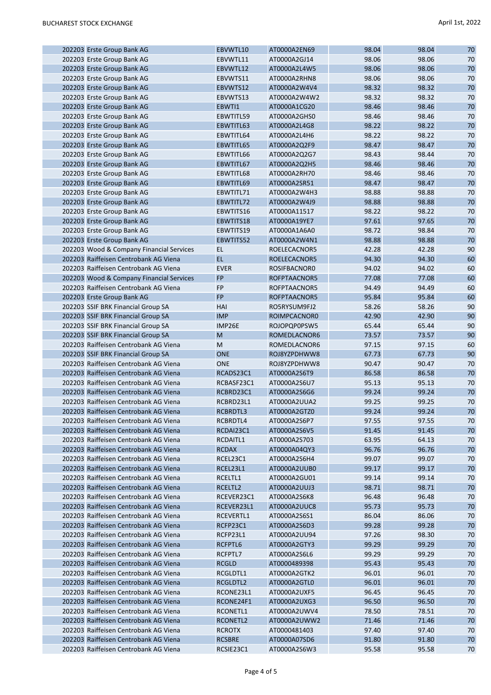| 202203 Erste Group Bank AG                                               | EBVWTL10      | AT0000A2EN69                 | 98.04 | 98.04 | 70     |
|--------------------------------------------------------------------------|---------------|------------------------------|-------|-------|--------|
| 202203 Erste Group Bank AG                                               | EBVWTL11      | AT0000A2GJ14                 | 98.06 | 98.06 | 70     |
| 202203 Erste Group Bank AG                                               | EBVWTL12      | AT0000A2L4W5                 | 98.06 | 98.06 | 70     |
| 202203 Erste Group Bank AG                                               | EBVWTS11      | AT0000A2RHN8                 | 98.06 | 98.06 | 70     |
| 202203 Erste Group Bank AG                                               | EBVWTS12      | AT0000A2W4V4                 | 98.32 | 98.32 | 70     |
| 202203 Erste Group Bank AG                                               | EBVWTS13      | AT0000A2W4W2                 | 98.32 | 98.32 | 70     |
| 202203 Erste Group Bank AG                                               | EBWTI1        | AT0000A1CG20                 | 98.46 | 98.46 | 70     |
| 202203 Erste Group Bank AG                                               | EBWTITL59     | AT0000A2GHS0                 | 98.46 | 98.46 | 70     |
| 202203 Erste Group Bank AG                                               | EBWTITL63     | AT0000A2L4G8                 | 98.22 | 98.22 | 70     |
| 202203 Erste Group Bank AG                                               | EBWTITL64     | AT0000A2L4H6                 | 98.22 | 98.22 | 70     |
| 202203 Erste Group Bank AG                                               | EBWTITL65     | AT0000A2Q2F9                 | 98.47 | 98.47 | 70     |
| 202203 Erste Group Bank AG                                               | EBWTITL66     | AT0000A2Q2G7                 | 98.43 | 98.44 | 70     |
| 202203 Erste Group Bank AG                                               | EBWTITL67     | AT0000A2Q2H5                 | 98.46 | 98.46 | 70     |
| 202203 Erste Group Bank AG                                               | EBWTITL68     | AT0000A2RH70                 | 98.46 | 98.46 | 70     |
| 202203 Erste Group Bank AG                                               | EBWTITL69     | AT0000A2SR51                 | 98.47 | 98.47 | 70     |
| 202203 Erste Group Bank AG                                               | EBWTITL71     | AT0000A2W4H3                 | 98.88 | 98.88 | 70     |
| 202203 Erste Group Bank AG                                               | EBWTITL72     | AT0000A2W4J9                 | 98.88 | 98.88 | 70     |
| 202203 Erste Group Bank AG                                               | EBWTITS16     | AT0000A11517                 | 98.22 | 98.22 | 70     |
| 202203 Erste Group Bank AG                                               | EBWTITS18     | AT0000A19YE7                 | 97.61 | 97.65 | 70     |
| 202203 Erste Group Bank AG                                               | EBWTITS19     | AT0000A1A6A0                 | 98.72 | 98.84 | 70     |
| 202203 Erste Group Bank AG                                               | EBWTITS52     | AT0000A2W4N1                 | 98.88 | 98.88 | 70     |
| 202203 Wood & Company Financial Services                                 | EL.           | ROELECACNOR5                 | 42.28 | 42.28 | 90     |
| 202203 Raiffeisen Centrobank AG Viena                                    | EL.           | ROELECACNOR5                 | 94.30 | 94.30 | 60     |
| 202203 Raiffeisen Centrobank AG Viena                                    | <b>EVER</b>   | ROSIFBACNOR0                 | 94.02 | 94.02 | 60     |
| 202203 Wood & Company Financial Services                                 | <b>FP</b>     | ROFPTAACNOR5                 | 77.08 | 77.08 | 60     |
| 202203 Raiffeisen Centrobank AG Viena                                    | <b>FP</b>     | ROFPTAACNOR5                 | 94.49 | 94.49 | 60     |
| 202203 Erste Group Bank AG                                               | <b>FP</b>     | ROFPTAACNOR5                 | 95.84 | 95.84 | 60     |
| 202203 SSIF BRK Financial Group SA                                       | HAI           | RO5RYSUM9FJ2                 | 58.26 | 58.26 | 90     |
| 202203 SSIF BRK Financial Group SA                                       | <b>IMP</b>    | ROIMPCACNOR0                 | 42.90 | 42.90 | 90     |
|                                                                          | IMP26E        | ROJOPQP0PSW5                 | 65.44 | 65.44 | 90     |
| 202203 SSIF BRK Financial Group SA<br>202203 SSIF BRK Financial Group SA | M             |                              | 73.57 | 73.57 | 90     |
|                                                                          | M             | ROMEDLACNOR6<br>ROMEDLACNOR6 | 97.15 | 97.15 | 60     |
| 202203 Raiffeisen Centrobank AG Viena                                    |               |                              |       |       |        |
| 202203 SSIF BRK Financial Group SA                                       | <b>ONE</b>    | ROJ8YZPDHWW8                 | 67.73 | 67.73 | 90     |
| 202203 Raiffeisen Centrobank AG Viena                                    | <b>ONE</b>    | ROJ8YZPDHWW8                 | 90.47 | 90.47 | 70     |
| 202203 Raiffeisen Centrobank AG Viena                                    | RCADS23C1     | AT0000A2S6T9                 | 86.58 | 86.58 | 70     |
| 202203 Raiffeisen Centrobank AG Viena                                    | RCBASF23C1    | AT0000A2S6U7                 | 95.13 | 95.13 | 70     |
| 202203 Raiffeisen Centrobank AG Viena                                    | RCBRD23C1     | AT0000A2S6G6                 | 99.24 | 99.24 | 70     |
| 202203 Raiffeisen Centrobank AG Viena                                    | RCBRD23L1     | AT0000A2UUA2                 | 99.25 | 99.25 | 70     |
| 202203 Raiffeisen Centrobank AG Viena                                    | RCBRDTL3      | AT0000A2GTZ0                 | 99.24 | 99.24 | $70\,$ |
| 202203 Raiffeisen Centrobank AG Viena                                    | RCBRDTL4      | AT0000A2S6P7                 | 97.55 | 97.55 | 70     |
| 202203 Raiffeisen Centrobank AG Viena                                    | RCDAI23C1     | AT0000A2S6V5                 | 91.45 | 91.45 | 70     |
| 202203 Raiffeisen Centrobank AG Viena                                    | RCDAITL1      | AT0000A2S703                 | 63.95 | 64.13 | 70     |
| 202203 Raiffeisen Centrobank AG Viena                                    | <b>RCDAX</b>  | AT0000A04QY3                 | 96.76 | 96.76 | 70     |
| 202203 Raiffeisen Centrobank AG Viena                                    | RCEL23C1      | AT0000A2S6H4                 | 99.07 | 99.07 | 70     |
| 202203 Raiffeisen Centrobank AG Viena                                    | RCEL23L1      | AT0000A2UUB0                 | 99.17 | 99.17 | 70     |
| 202203 Raiffeisen Centrobank AG Viena                                    | RCELTL1       | AT0000A2GU01                 | 99.14 | 99.14 | 70     |
| 202203 Raiffeisen Centrobank AG Viena                                    | RCELTL2       | AT0000A2UUJ3                 | 98.71 | 98.71 | 70     |
| 202203 Raiffeisen Centrobank AG Viena                                    | RCEVER23C1    | AT0000A2S6K8                 | 96.48 | 96.48 | 70     |
| 202203 Raiffeisen Centrobank AG Viena                                    | RCEVER23L1    | AT0000A2UUC8                 | 95.73 | 95.73 | 70     |
| 202203 Raiffeisen Centrobank AG Viena                                    | RCEVERTL1     | AT0000A2S6S1                 | 86.04 | 86.06 | 70     |
| 202203 Raiffeisen Centrobank AG Viena                                    | RCFP23C1      | AT0000A2S6D3                 | 99.28 | 99.28 | 70     |
| 202203 Raiffeisen Centrobank AG Viena                                    | RCFP23L1      | AT0000A2UU94                 | 97.26 | 98.30 | 70     |
| 202203 Raiffeisen Centrobank AG Viena                                    | RCFPTL6       | AT0000A2GTY3                 | 99.29 | 99.29 | 70     |
| 202203 Raiffeisen Centrobank AG Viena                                    | RCFPTL7       | AT0000A2S6L6                 | 99.29 | 99.29 | 70     |
| 202203 Raiffeisen Centrobank AG Viena                                    | <b>RCGLD</b>  | AT0000489398                 | 95.43 | 95.43 | 70     |
| 202203 Raiffeisen Centrobank AG Viena                                    | RCGLDTL1      | AT0000A2GTK2                 | 96.01 | 96.01 | 70     |
| 202203 Raiffeisen Centrobank AG Viena                                    | RCGLDTL2      | AT0000A2GTL0                 | 96.01 | 96.01 | 70     |
| 202203 Raiffeisen Centrobank AG Viena                                    | RCONE23L1     | AT0000A2UXF5                 | 96.45 | 96.45 | 70     |
| 202203 Raiffeisen Centrobank AG Viena                                    | RCONE24F1     | AT0000A2UXG3                 | 96.50 | 96.50 | 70     |
| 202203 Raiffeisen Centrobank AG Viena                                    | RCONETL1      | AT0000A2UWV4                 | 78.50 | 78.51 | 70     |
| 202203 Raiffeisen Centrobank AG Viena                                    | RCONETL2      | AT0000A2UWW2                 | 71.46 | 71.46 | 70     |
| 202203 Raiffeisen Centrobank AG Viena                                    | <b>RCROTX</b> | AT0000481403                 | 97.40 | 97.40 | 70     |
| 202203 Raiffeisen Centrobank AG Viena                                    | <b>RCSBRE</b> | AT0000A07SD6                 | 91.80 | 91.80 | 70     |
| 202203 Raiffeisen Centrobank AG Viena                                    | RCSIE23C1     | AT0000A2S6W3                 | 95.58 | 95.58 | 70     |